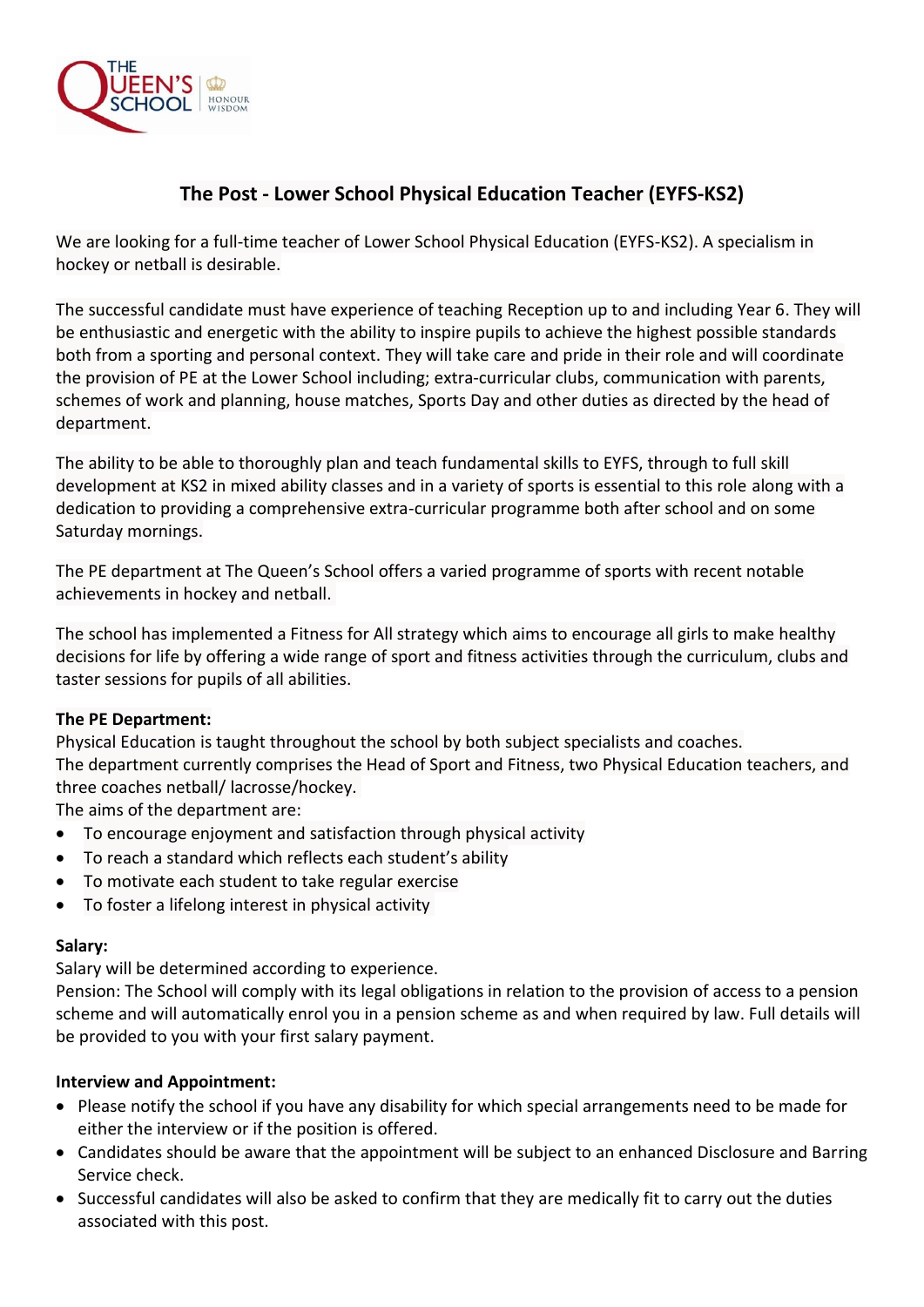

# **The Post - Lower School Physical Education Teacher (EYFS-KS2)**

We are looking for a full-time teacher of Lower School Physical Education (EYFS-KS2). A specialism in hockey or netball is desirable.

The successful candidate must have experience of teaching Reception up to and including Year 6. They will be enthusiastic and energetic with the ability to inspire pupils to achieve the highest possible standards both from a sporting and personal context. They will take care and pride in their role and will coordinate the provision of PE at the Lower School including; extra-curricular clubs, communication with parents, schemes of work and planning, house matches, Sports Day and other duties as directed by the head of department.

The ability to be able to thoroughly plan and teach fundamental skills to EYFS, through to full skill development at KS2 in mixed ability classes and in a variety of sports is essential to this role along with a dedication to providing a comprehensive extra-curricular programme both after school and on some Saturday mornings.

The PE department at The Queen's School offers a varied programme of sports with recent notable achievements in hockey and netball.

The school has implemented a Fitness for All strategy which aims to encourage all girls to make healthy decisions for life by offering a wide range of sport and fitness activities through the curriculum, clubs and taster sessions for pupils of all abilities.

## **The PE Department:**

Physical Education is taught throughout the school by both subject specialists and coaches. The department currently comprises the Head of Sport and Fitness, two Physical Education teachers, and three coaches netball/ lacrosse/hockey.

The aims of the department are:

- To encourage enjoyment and satisfaction through physical activity
- To reach a standard which reflects each student's ability
- To motivate each student to take regular exercise
- To foster a lifelong interest in physical activity

## **Salary:**

Salary will be determined according to experience.

Pension: The School will comply with its legal obligations in relation to the provision of access to a pension scheme and will automatically enrol you in a pension scheme as and when required by law. Full details will be provided to you with your first salary payment.

## **Interview and Appointment:**

- Please notify the school if you have any disability for which special arrangements need to be made for either the interview or if the position is offered.
- Candidates should be aware that the appointment will be subject to an enhanced Disclosure and Barring Service check.
- Successful candidates will also be asked to confirm that they are medically fit to carry out the duties associated with this post.